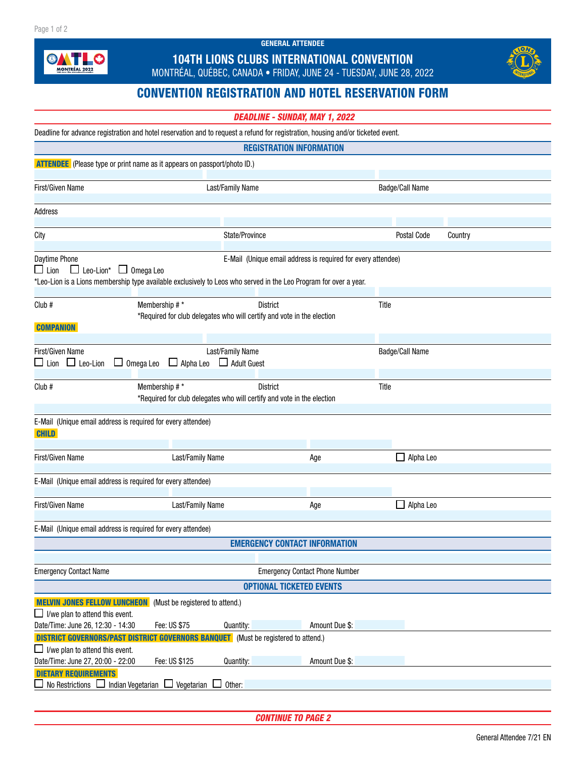GENERAL ATTENDEE



## 104TH LIONS CLUBS INTERNATIONAL CONVENTION

MONTRÉAL, QUÉBEC, CANADA • FRIDAY, JUNE 24 - TUESDAY, JUNE 28, 2022



## CONVENTION REGISTRATION AND HOTEL RESERVATION FORM

| <b>DEADLINE - SUNDAY, MAY 1, 2022</b> |  |  |  |
|---------------------------------------|--|--|--|
|---------------------------------------|--|--|--|

| Deadline for advance registration and hotel reservation and to request a refund for registration, housing and/or ticketed event.                                                                                                                       |                                                                                           |                |                  |                 |  |  |  |  |
|--------------------------------------------------------------------------------------------------------------------------------------------------------------------------------------------------------------------------------------------------------|-------------------------------------------------------------------------------------------|----------------|------------------|-----------------|--|--|--|--|
| <b>REGISTRATION INFORMATION</b>                                                                                                                                                                                                                        |                                                                                           |                |                  |                 |  |  |  |  |
| <b>ATTENDEE</b> (Please type or print name as it appears on passport/photo ID.)                                                                                                                                                                        |                                                                                           |                |                  |                 |  |  |  |  |
| First/Given Name                                                                                                                                                                                                                                       | Last/Family Name                                                                          |                | Badge/Call Name  |                 |  |  |  |  |
| Address                                                                                                                                                                                                                                                |                                                                                           |                |                  |                 |  |  |  |  |
| City                                                                                                                                                                                                                                                   | State/Province                                                                            |                | Postal Code      | Country         |  |  |  |  |
|                                                                                                                                                                                                                                                        |                                                                                           |                |                  |                 |  |  |  |  |
| Daytime Phone<br>E-Mail (Unique email address is required for every attendee)<br>$\Box$ Lion<br>$\Box$ Leo-Lion* $\Box$ Omega Leo<br>*Leo-Lion is a Lions membership type available exclusively to Leos who served in the Leo Program for over a year. |                                                                                           |                |                  |                 |  |  |  |  |
| Membership # *<br>Club #                                                                                                                                                                                                                               | <b>District</b><br>*Required for club delegates who will certify and vote in the election |                | Title            |                 |  |  |  |  |
| <b>COMPANION</b>                                                                                                                                                                                                                                       |                                                                                           |                |                  |                 |  |  |  |  |
| First/Given Name<br>$\Box$ Lion $\Box$ Leo-Lion<br>$\Box$ Omega Leo                                                                                                                                                                                    | Last/Family Name<br>$\Box$ Alpha Leo<br>$\Box$ Adult Guest                                |                |                  | Badge/Call Name |  |  |  |  |
|                                                                                                                                                                                                                                                        |                                                                                           |                |                  |                 |  |  |  |  |
| Membership #*<br>Club #                                                                                                                                                                                                                                | <b>District</b><br>*Required for club delegates who will certify and vote in the election |                | Title            |                 |  |  |  |  |
| E-Mail (Unique email address is required for every attendee)<br><b>CHILD</b>                                                                                                                                                                           |                                                                                           |                |                  |                 |  |  |  |  |
| First/Given Name<br>Last/Family Name                                                                                                                                                                                                                   |                                                                                           | Age            | $\Box$ Alpha Leo |                 |  |  |  |  |
| E-Mail (Unique email address is required for every attendee)                                                                                                                                                                                           |                                                                                           |                |                  |                 |  |  |  |  |
| First/Given Name                                                                                                                                                                                                                                       | Last/Family Name<br>Age                                                                   |                | Alpha Leo        |                 |  |  |  |  |
| E-Mail (Unique email address is required for every attendee)                                                                                                                                                                                           |                                                                                           |                |                  |                 |  |  |  |  |
| <b>EMERGENCY CONTACT INFORMATION</b>                                                                                                                                                                                                                   |                                                                                           |                |                  |                 |  |  |  |  |
|                                                                                                                                                                                                                                                        |                                                                                           |                |                  |                 |  |  |  |  |
| <b>Emergency Contact Name</b>                                                                                                                                                                                                                          | <b>Emergency Contact Phone Number</b>                                                     |                |                  |                 |  |  |  |  |
| <b>OPTIONAL TICKETED EVENTS</b>                                                                                                                                                                                                                        |                                                                                           |                |                  |                 |  |  |  |  |
| <b>MELVIN JONES FELLOW LUNCHEON</b><br>(Must be registered to attend.)<br>$\Box$ I/we plan to attend this event.                                                                                                                                       |                                                                                           |                |                  |                 |  |  |  |  |
| Date/Time: June 26, 12:30 - 14:30<br>Fee: US \$75                                                                                                                                                                                                      | Quantity:                                                                                 | Amount Due \$: |                  |                 |  |  |  |  |
| <b>DISTRICT GOVERNORS/PAST DISTRICT GOVERNORS BANQUET</b> (Must be registered to attend.)<br>$\Box$ I/we plan to attend this event.                                                                                                                    |                                                                                           |                |                  |                 |  |  |  |  |
| Fee: US \$125<br>Date/Time: June 27, 20:00 - 22:00                                                                                                                                                                                                     | Quantity:                                                                                 | Amount Due \$: |                  |                 |  |  |  |  |
| <b>DIETARY REQUIREMENTS</b>                                                                                                                                                                                                                            |                                                                                           |                |                  |                 |  |  |  |  |
| No Restrictions<br>Indian Vegetarian<br>Vegetarian<br>Other:                                                                                                                                                                                           |                                                                                           |                |                  |                 |  |  |  |  |

*CONTINUE TO PAGE 2*